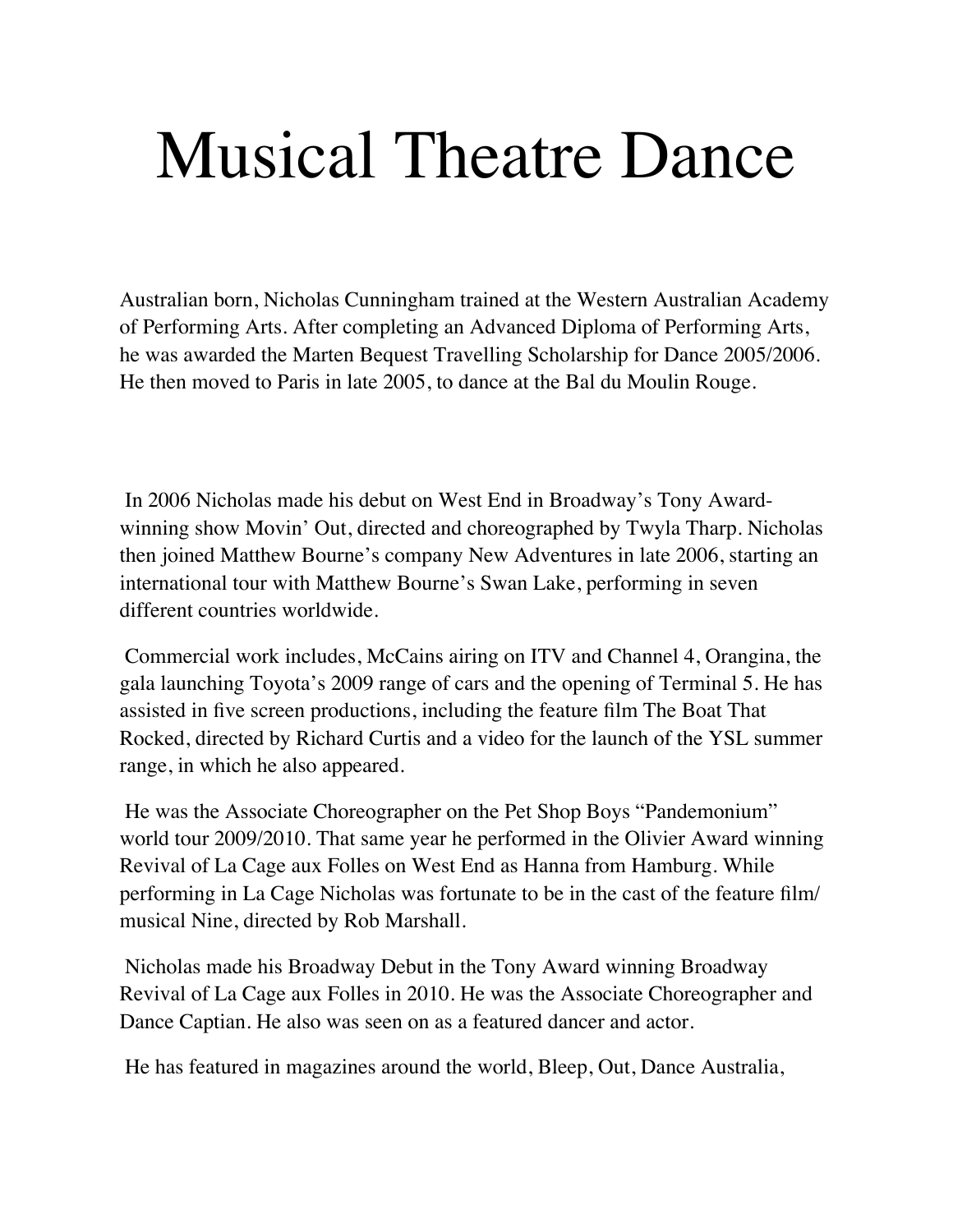## Musical Theatre Dance

Australian born, Nicholas Cunningham trained at the Western Australian Academy of Performing Arts. After completing an Advanced Diploma of Performing Arts, he was awarded the Marten Bequest Travelling Scholarship for Dance 2005/2006. He then moved to Paris in late 2005, to dance at the Bal du Moulin Rouge.

In 2006 Nicholas made his debut on West End in Broadway's Tony Awardwinning show Movin' Out, directed and choreographed by Twyla Tharp. Nicholas then joined Matthew Bourne's company New Adventures in late 2006, starting an international tour with Matthew Bourne's Swan Lake, performing in seven different countries worldwide.

Commercial work includes, McCains airing on ITV and Channel 4, Orangina, the gala launching Toyota's 2009 range of cars and the opening of Terminal 5. He has assisted in five screen productions, including the feature film The Boat That Rocked, directed by Richard Curtis and a video for the launch of the YSL summer range, in which he also appeared.

He was the Associate Choreographer on the Pet Shop Boys "Pandemonium" world tour 2009/2010. That same year he performed in the Olivier Award winning Revival of La Cage aux Folles on West End as Hanna from Hamburg. While performing in La Cage Nicholas was fortunate to be in the cast of the feature film/ musical Nine, directed by Rob Marshall.

Nicholas made his Broadway Debut in the Tony Award winning Broadway Revival of La Cage aux Folles in 2010. He was the Associate Choreographer and Dance Captian. He also was seen on as a featured dancer and actor.

He has featured in magazines around the world, Bleep, Out, Dance Australia,